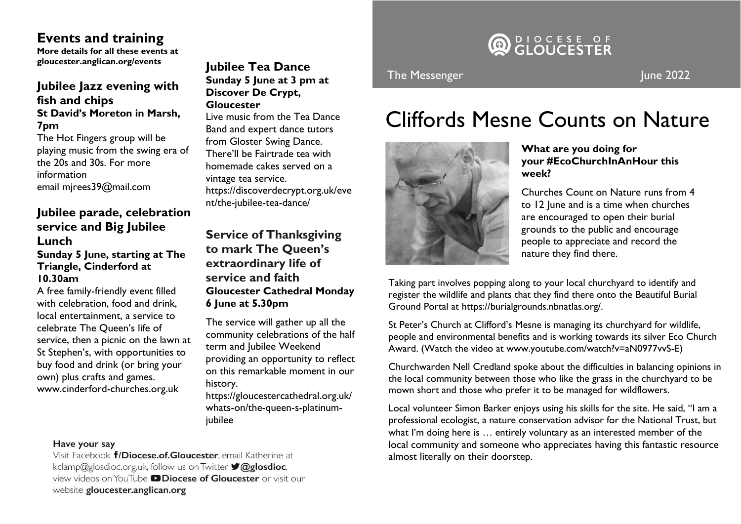### **Events and training**

**More details for all these events at gloucester.anglican.org/events** 

### **Jubilee Jazz evening with fish and chips St David's Moreton in Marsh, 7pm**

The Hot Fingers group will be playing music from the swing era of the 20s and 30s. For more information email mjrees39@mail.com

### **Jubilee parade, celebration service and Big Jubilee Lunch**

### **Sunday 5 June, starting at The Triangle, Cinderford at 10.30am**

A free family-friendly event filled with celebration, food and drink, local entertainment, a service to celebrate The Queen's life of service, then a picnic on the lawn at St Stephen's, with opportunities to buy food and drink (or bring your own) plus crafts and games. www.cinderford-churches.org.uk

### **Jubilee Tea Dance Sunday 5 June at 3 pm at Discover De Crypt, Gloucester**

Live music from the Tea Dance Band and expert dance tutors from Gloster Swing Dance. There'll be Fairtrade tea with homemade cakes served on a vintage tea service. https://discoverdecrypt.org.uk/eve nt/the-jubilee-tea-dance/

**Service of Thanksgiving to mark The Queen's extraordinary life of service and faith Gloucester Cathedral Monday 6 June at 5.30pm**

The service will gather up all the community celebrations of the half term and Jubilee Weekend providing an opportunity to reflect on this remarkable moment in our history.

https://gloucestercathedral.org.uk/ whats-on/the-queen-s-platinumjubilee

# DIOCESE OF

### The Messenger June 2022

## Cliffords Mesne Counts on Nature



### **What are you doing for your #EcoChurchInAnHour this week?**

Churches Count on Nature runs from 4 to 12 June and is a time when churches are encouraged to open their burial grounds to the public and encourage people to appreciate and record the nature they find there.

Taking part involves popping along to your local churchyard to identify and register the wildlife and plants that they find there onto the Beautiful Burial Ground Portal at https://burialgrounds.nbnatlas.org/.

St Peter's Church at Clifford's Mesne is managing its churchyard for wildlife, people and environmental benefits and is working towards its silver Eco Church Award. (Watch the video at www.youtube.com/watch?v=aN0977vvS-E)

Churchwarden Nell Credland spoke about the difficulties in balancing opinions in the local community between those who like the grass in the churchyard to be mown short and those who prefer it to be managed for wildflowers.

Local volunteer Simon Barker enjoys using his skills for the site. He said, "I am a professional ecologist, a nature conservation advisor for the National Trust, but what I'm doing here is … entirely voluntary as an interested member of the local community and someone who appreciates having this fantastic resource almost literally on their doorstep.

#### Have your say

Visit Facebook f/Diocese.of.Gloucester, email Katherine at kclamp@glosdioc.org.uk, follow us on Twitter **V@glosdioc**. view videos on YouTube **DDiocese of Gloucester** or visit our website gloucester.anglican.org